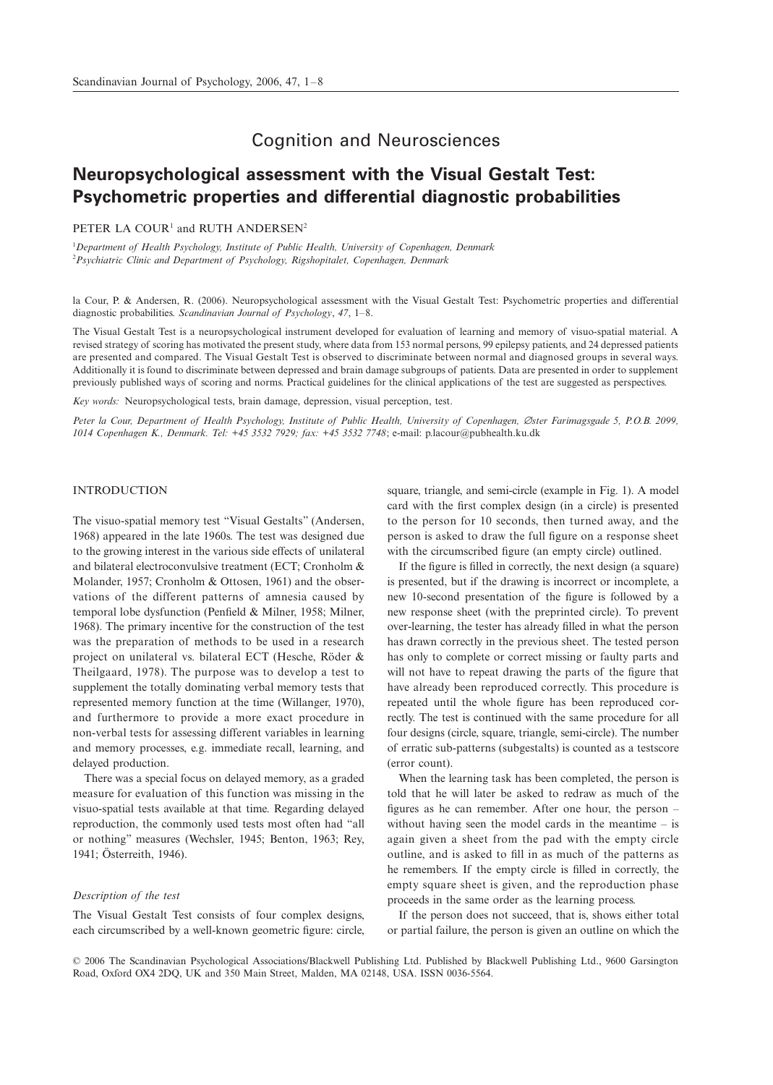# **Cognition and Neurosciences**

# **Neuropsychological assessment with the Visual Gestalt Test: Psychometric properties and differential diagnostic probabilities**

PETER LA COUR<sup>1</sup> and RUTH ANDERSEN<sup>2</sup>

<sup>1</sup>Department of Health Psychology, Institute of Public Health, University of Copenhagen, Denmark 2 *Psychiatric Clinic and Department of Psychology, Rigshopitalet, Copenhagen, Denmark* 

la Cour, P. & Andersen, R. (2006). Neuropsychological assessment with the Visual Gestalt Test: Psychometric properties and differential diagnostic probabilities. *Scandinavian Journal of Psychology*, *47*, 1–8.

The Visual Gestalt Test is a neuropsychological instrument developed for evaluation of learning and memory of visuo-spatial material. A revised strategy of scoring has motivated the present study, where data from 153 normal persons, 99 epilepsy patients, and 24 depressed patients are presented and compared. The Visual Gestalt Test is observed to discriminate between normal and diagnosed groups in several ways. Additionally it is found to discriminate between depressed and brain damage subgroups of patients. Data are presented in order to supplement previously published ways of scoring and norms. Practical guidelines for the clinical applications of the test are suggested as perspectives.

*Key words:* Neuropsychological tests, brain damage, depression, visual perception, test.

Peter la Cour, Department of Health Psychology, Institute of Public Health, University of Copenhagen, Øster Farimagsgade 5, P.O.B. 2099, *1014 Copenhagen K., Denmark. Tel: +45 3532 7929; fax: +45 3532 7748*; e-mail: p.lacour@pubhealth.ku.dk

# INTRODUCTION

The visuo-spatial memory test "Visual Gestalts" (Andersen, 1968) appeared in the late 1960s. The test was designed due to the growing interest in the various side effects of unilateral and bilateral electroconvulsive treatment (ECT; Cronholm & Molander, 1957; Cronholm & Ottosen, 1961) and the observations of the different patterns of amnesia caused by temporal lobe dysfunction (Penfield & Milner, 1958; Milner, 1968). The primary incentive for the construction of the test was the preparation of methods to be used in a research project on unilateral vs. bilateral ECT (Hesche, Röder & Theilgaard, 1978). The purpose was to develop a test to supplement the totally dominating verbal memory tests that represented memory function at the time (Willanger, 1970), and furthermore to provide a more exact procedure in non-verbal tests for assessing different variables in learning and memory processes, e.g. immediate recall, learning, and delayed production.

There was a special focus on delayed memory, as a graded measure for evaluation of this function was missing in the visuo-spatial tests available at that time. Regarding delayed reproduction, the commonly used tests most often had "all or nothing" measures (Wechsler, 1945; Benton, 1963; Rey, 1941; Österreith, 1946).

## *Description of the test*

The Visual Gestalt Test consists of four complex designs, each circumscribed by a well-known geometric figure: circle, square, triangle, and semi-circle (example in Fig. 1). A model card with the first complex design (in a circle) is presented to the person for 10 seconds, then turned away, and the person is asked to draw the full figure on a response sheet with the circumscribed figure (an empty circle) outlined.

If the figure is filled in correctly, the next design (a square) is presented, but if the drawing is incorrect or incomplete, a new 10-second presentation of the figure is followed by a new response sheet (with the preprinted circle). To prevent over-learning, the tester has already filled in what the person has drawn correctly in the previous sheet. The tested person has only to complete or correct missing or faulty parts and will not have to repeat drawing the parts of the figure that have already been reproduced correctly. This procedure is repeated until the whole figure has been reproduced correctly. The test is continued with the same procedure for all four designs (circle, square, triangle, semi-circle). The number of erratic sub-patterns (subgestalts) is counted as a testscore (error count).

When the learning task has been completed, the person is told that he will later be asked to redraw as much of the figures as he can remember. After one hour, the person – without having seen the model cards in the meantime – is again given a sheet from the pad with the empty circle outline, and is asked to fill in as much of the patterns as he remembers. If the empty circle is filled in correctly, the empty square sheet is given, and the reproduction phase proceeds in the same order as the learning process.

If the person does not succeed, that is, shows either total or partial failure, the person is given an outline on which the

© 2006 The Scandinavian Psychological Associations/Blackwell Publishing Ltd. Published by Blackwell Publishing Ltd., 9600 Garsington Road, Oxford OX4 2DQ, UK and 350 Main Street, Malden, MA 02148, USA. ISSN 0036-5564.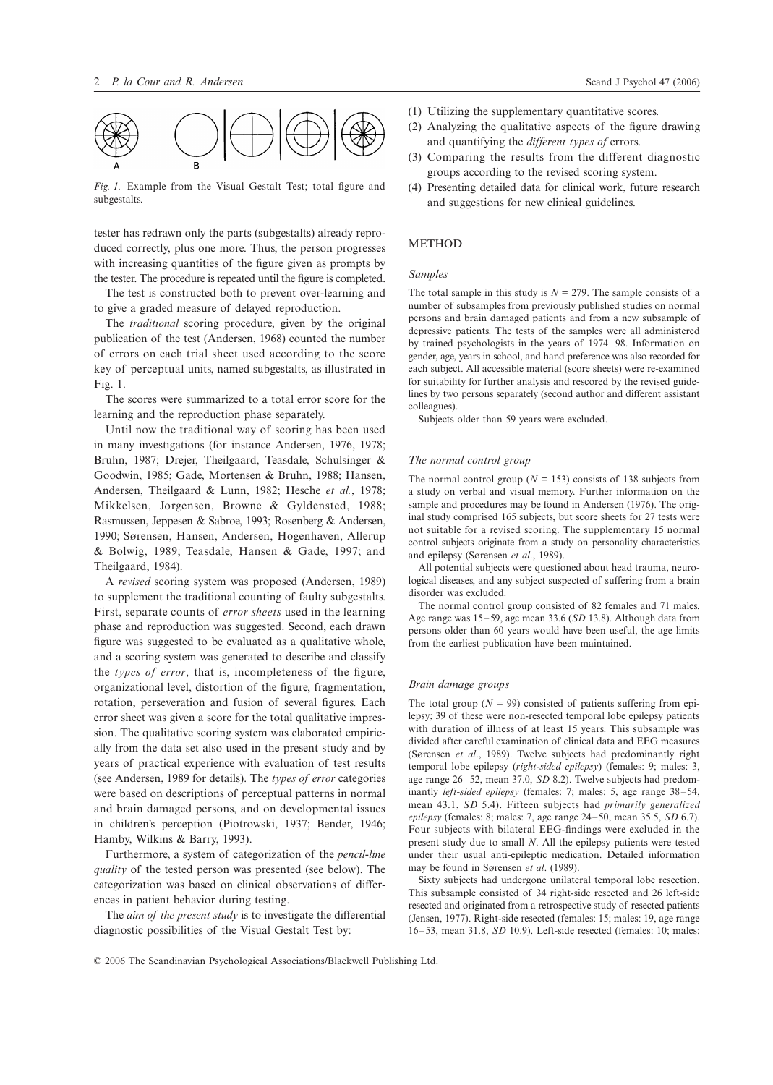

*Fig. 1.* Example from the Visual Gestalt Test; total figure and subgestalts.

tester has redrawn only the parts (subgestalts) already reproduced correctly, plus one more. Thus, the person progresses with increasing quantities of the figure given as prompts by the tester. The procedure is repeated until the figure is completed.

The test is constructed both to prevent over-learning and to give a graded measure of delayed reproduction.

The *traditional* scoring procedure, given by the original publication of the test (Andersen, 1968) counted the number of errors on each trial sheet used according to the score key of perceptual units, named subgestalts, as illustrated in Fig. 1.

The scores were summarized to a total error score for the learning and the reproduction phase separately.

Until now the traditional way of scoring has been used in many investigations (for instance Andersen, 1976, 1978; Bruhn, 1987; Drejer, Theilgaard, Teasdale, Schulsinger & Goodwin, 1985; Gade, Mortensen & Bruhn, 1988; Hansen, Andersen, Theilgaard & Lunn, 1982; Hesche *et al.*, 1978; Mikkelsen, Jorgensen, Browne & Gyldensted, 1988; Rasmussen, Jeppesen & Sabroe, 1993; Rosenberg & Andersen, 1990; Sørensen, Hansen, Andersen, Hogenhaven, Allerup & Bolwig, 1989; Teasdale, Hansen & Gade, 1997; and Theilgaard, 1984).

A *revised* scoring system was proposed (Andersen, 1989) to supplement the traditional counting of faulty subgestalts. First, separate counts of *error sheets* used in the learning phase and reproduction was suggested. Second, each drawn figure was suggested to be evaluated as a qualitative whole, and a scoring system was generated to describe and classify the *types of error*, that is, incompleteness of the figure, organizational level, distortion of the figure, fragmentation, rotation, perseveration and fusion of several figures. Each error sheet was given a score for the total qualitative impression. The qualitative scoring system was elaborated empirically from the data set also used in the present study and by years of practical experience with evaluation of test results (see Andersen, 1989 for details). The *types of error* categories were based on descriptions of perceptual patterns in normal and brain damaged persons, and on developmental issues in children's perception (Piotrowski, 1937; Bender, 1946; Hamby, Wilkins & Barry, 1993).

Furthermore, a system of categorization of the *pencil-line quality* of the tested person was presented (see below). The categorization was based on clinical observations of differences in patient behavior during testing.

The *aim of the present study* is to investigate the differential diagnostic possibilities of the Visual Gestalt Test by:

- (1) Utilizing the supplementary quantitative scores.
- (2) Analyzing the qualitative aspects of the figure drawing and quantifying the *different types of* errors.
- (3) Comparing the results from the different diagnostic groups according to the revised scoring system.
- (4) Presenting detailed data for clinical work, future research and suggestions for new clinical guidelines.

#### METHOD

#### *Samples*

The total sample in this study is  $N = 279$ . The sample consists of a number of subsamples from previously published studies on normal persons and brain damaged patients and from a new subsample of depressive patients. The tests of the samples were all administered by trained psychologists in the years of 1974–98. Information on gender, age, years in school, and hand preference was also recorded for each subject. All accessible material (score sheets) were re-examined for suitability for further analysis and rescored by the revised guidelines by two persons separately (second author and different assistant colleagues).

Subjects older than 59 years were excluded.

#### *The normal control group*

The normal control group ( $N = 153$ ) consists of 138 subjects from a study on verbal and visual memory. Further information on the sample and procedures may be found in Andersen (1976). The original study comprised 165 subjects, but score sheets for 27 tests were not suitable for a revised scoring. The supplementary 15 normal control subjects originate from a study on personality characteristics and epilepsy (Sørensen *et al*., 1989).

All potential subjects were questioned about head trauma, neurological diseases, and any subject suspected of suffering from a brain disorder was excluded.

The normal control group consisted of 82 females and 71 males. Age range was 15–59, age mean 33.6 (*SD* 13.8). Although data from persons older than 60 years would have been useful, the age limits from the earliest publication have been maintained.

#### *Brain damage groups*

The total group ( $N = 99$ ) consisted of patients suffering from epilepsy; 39 of these were non-resected temporal lobe epilepsy patients with duration of illness of at least 15 years. This subsample was divided after careful examination of clinical data and EEG measures (Sørensen *et al*., 1989). Twelve subjects had predominantly right temporal lobe epilepsy (*right-sided epilepsy*) (females: 9; males: 3, age range 26–52, mean 37.0, *SD* 8.2). Twelve subjects had predominantly *left-sided epilepsy* (females: 7; males: 5, age range 38–54, mean 43.1, *SD* 5.4). Fifteen subjects had *primarily generalized epilepsy* (females: 8; males: 7, age range 24–50, mean 35.5, *SD* 6.7). Four subjects with bilateral EEG-findings were excluded in the present study due to small *N*. All the epilepsy patients were tested under their usual anti-epileptic medication. Detailed information may be found in Sørensen *et al*. (1989).

Sixty subjects had undergone unilateral temporal lobe resection. This subsample consisted of 34 right-side resected and 26 left-side resected and originated from a retrospective study of resected patients (Jensen, 1977). Right-side resected (females: 15; males: 19, age range 16–53, mean 31.8, *SD* 10.9). Left-side resected (females: 10; males:

<sup>© 2006</sup> The Scandinavian Psychological Associations/Blackwell Publishing Ltd.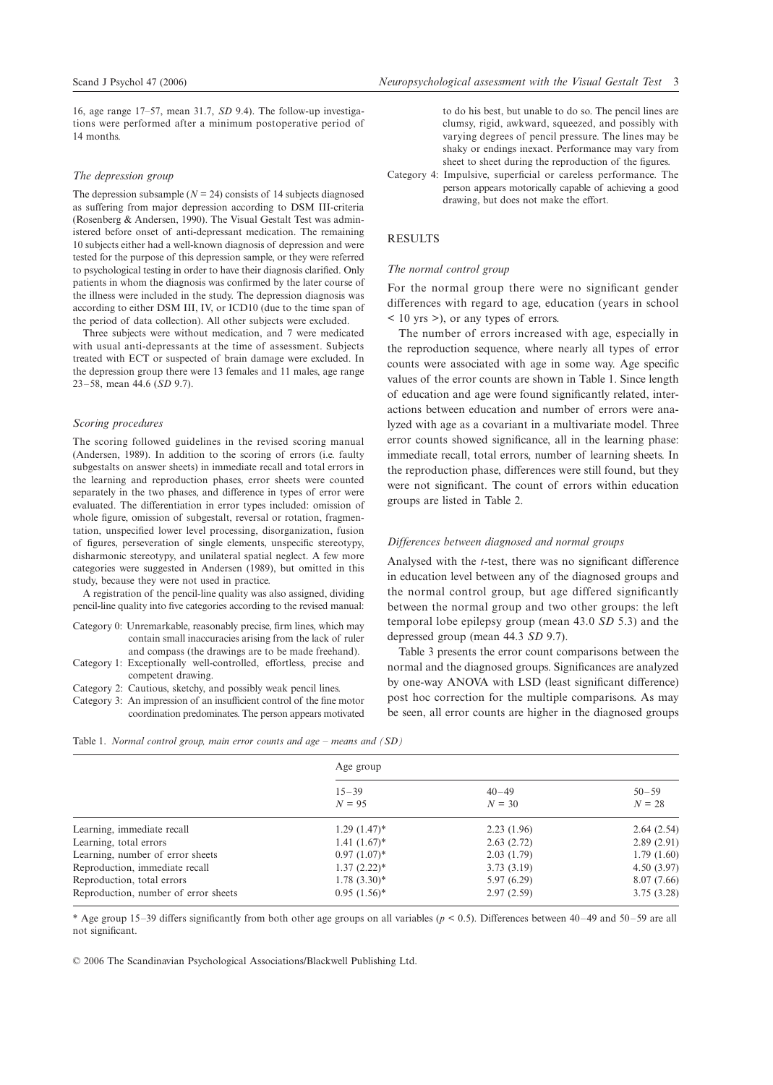16, age range 17–57, mean 31.7, *SD* 9.4). The follow-up investigations were performed after a minimum postoperative period of 14 months.

#### *The depression group*

The depression subsample  $(N = 24)$  consists of 14 subjects diagnosed as suffering from major depression according to DSM III-criteria (Rosenberg & Andersen, 1990). The Visual Gestalt Test was administered before onset of anti-depressant medication. The remaining 10 subjects either had a well-known diagnosis of depression and were tested for the purpose of this depression sample, or they were referred to psychological testing in order to have their diagnosis clarified. Only patients in whom the diagnosis was confirmed by the later course of the illness were included in the study. The depression diagnosis was according to either DSM III, IV, or ICD10 (due to the time span of the period of data collection). All other subjects were excluded.

Three subjects were without medication, and 7 were medicated with usual anti-depressants at the time of assessment. Subjects treated with ECT or suspected of brain damage were excluded. In the depression group there were 13 females and 11 males, age range 23–58, mean 44.6 (*SD* 9.7).

#### *Scoring procedures*

The scoring followed guidelines in the revised scoring manual (Andersen, 1989). In addition to the scoring of errors (i.e. faulty subgestalts on answer sheets) in immediate recall and total errors in the learning and reproduction phases, error sheets were counted separately in the two phases, and difference in types of error were evaluated. The differentiation in error types included: omission of whole figure, omission of subgestalt, reversal or rotation, fragmentation, unspecified lower level processing, disorganization, fusion of figures, perseveration of single elements, unspecific stereotypy, disharmonic stereotypy, and unilateral spatial neglect. A few more categories were suggested in Andersen (1989), but omitted in this study, because they were not used in practice.

A registration of the pencil-line quality was also assigned, dividing pencil-line quality into five categories according to the revised manual:

- Category 0: Unremarkable, reasonably precise, firm lines, which may contain small inaccuracies arising from the lack of ruler and compass (the drawings are to be made freehand).
- Category 1: Exceptionally well-controlled, effortless, precise and competent drawing.
- Category 2: Cautious, sketchy, and possibly weak pencil lines.
- Category 3: An impression of an insufficient control of the fine motor coordination predominates. The person appears motivated

to do his best, but unable to do so. The pencil lines are clumsy, rigid, awkward, squeezed, and possibly with varying degrees of pencil pressure. The lines may be shaky or endings inexact. Performance may vary from sheet to sheet during the reproduction of the figures.

Category 4: Impulsive, superficial or careless performance. The person appears motorically capable of achieving a good drawing, but does not make the effort.

# RESULTS

#### *The normal control group*

For the normal group there were no significant gender differences with regard to age, education (years in school < 10 yrs >), or any types of errors.

The number of errors increased with age, especially in the reproduction sequence, where nearly all types of error counts were associated with age in some way. Age specific values of the error counts are shown in Table 1. Since length of education and age were found significantly related, interactions between education and number of errors were analyzed with age as a covariant in a multivariate model. Three error counts showed significance, all in the learning phase: immediate recall, total errors, number of learning sheets. In the reproduction phase, differences were still found, but they were not significant. The count of errors within education groups are listed in Table 2.

# *Differences between diagnosed and normal groups*

Analysed with the *t*-test, there was no significant difference in education level between any of the diagnosed groups and the normal control group, but age differed significantly between the normal group and two other groups: the left temporal lobe epilepsy group (mean 43.0 *SD* 5.3) and the depressed group (mean 44.3 *SD* 9.7).

Table 3 presents the error count comparisons between the normal and the diagnosed groups. Significances are analyzed by one-way ANOVA with LSD (least significant difference) post hoc correction for the multiple comparisons. As may be seen, all error counts are higher in the diagnosed groups

|                                      | Age group      |            |             |  |
|--------------------------------------|----------------|------------|-------------|--|
|                                      | $15 - 39$      | $40 - 49$  | $50 - 59$   |  |
|                                      | $N = 95$       | $N = 30$   | $N = 28$    |  |
| Learning, immediate recall           | $1.29(1.47)^*$ | 2.23(1.96) | 2.64(2.54)  |  |
| Learning, total errors               | $1.41(1.67)^*$ | 2.63(2.72) | 2.89(2.91)  |  |
| Learning, number of error sheets     | $0.97(1.07)^*$ | 2.03(1.79) | 1.79(1.60)  |  |
| Reproduction, immediate recall       | $1.37(2.22)^*$ | 3.73(3.19) | 4.50(3.97)  |  |
| Reproduction, total errors           | $1.78(3.30)^*$ | 5.97(6.29) | 8.07 (7.66) |  |
| Reproduction, number of error sheets | $0.95(1.56)^*$ | 2.97(2.59) | 3.75(3.28)  |  |

Table 1. *Normal control group, main error counts and age – means and (SD)*

\* Age group 15–39 differs significantly from both other age groups on all variables (*p* < 0.5). Differences between 40–49 and 50–59 are all not significant.

© 2006 The Scandinavian Psychological Associations/Blackwell Publishing Ltd.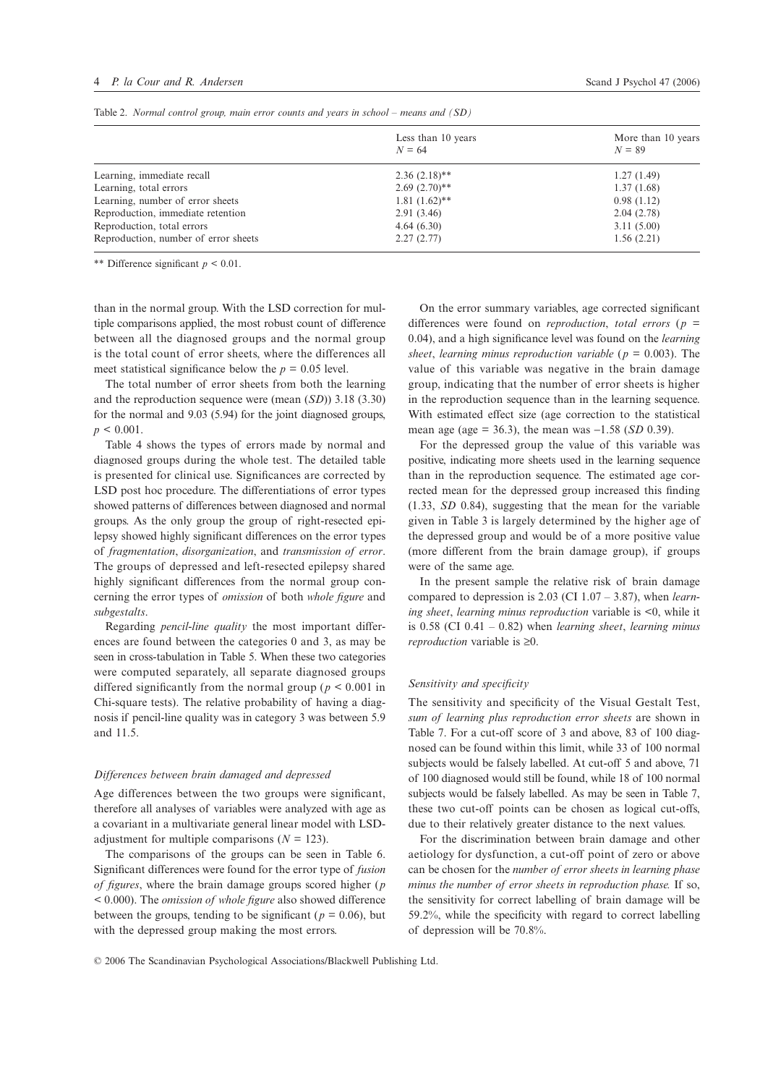|                                      | Less than 10 years<br>$N = 64$ | More than 10 years<br>$N = 89$ |
|--------------------------------------|--------------------------------|--------------------------------|
|                                      |                                |                                |
| Learning, immediate recall           | $2.36(2.18)$ **                | 1.27(1.49)                     |
| Learning, total errors               | $2.69(2.70)$ **                | 1.37(1.68)                     |
| Learning, number of error sheets     | $1.81 (1.62)$ **               | 0.98(1.12)                     |
| Reproduction, immediate retention    | 2.91(3.46)                     | 2.04(2.78)                     |
| Reproduction, total errors           | 4.64(6.30)                     | 3.11(5.00)                     |
| Reproduction, number of error sheets | 2.27(2.77)                     | 1.56(2.21)                     |

Table 2. *Normal control group, main error counts and years in school – means and (SD)*

\*\* Difference significant *p* < 0.01.

than in the normal group. With the LSD correction for multiple comparisons applied, the most robust count of difference between all the diagnosed groups and the normal group is the total count of error sheets, where the differences all meet statistical significance below the  $p = 0.05$  level.

The total number of error sheets from both the learning and the reproduction sequence were (mean (*SD*)) 3.18 (3.30) for the normal and 9.03 (5.94) for the joint diagnosed groups,  $p \leq 0.001$ .

Table 4 shows the types of errors made by normal and diagnosed groups during the whole test. The detailed table is presented for clinical use. Significances are corrected by LSD post hoc procedure. The differentiations of error types showed patterns of differences between diagnosed and normal groups. As the only group the group of right-resected epilepsy showed highly significant differences on the error types of *fragmentation*, *disorganization*, and *transmission of error*. The groups of depressed and left-resected epilepsy shared highly significant differences from the normal group concerning the error types of *omission* of both *whole figure* and *subgestalts*.

Regarding *pencil-line quality* the most important differences are found between the categories 0 and 3, as may be seen in cross-tabulation in Table 5. When these two categories were computed separately, all separate diagnosed groups differed significantly from the normal group (*p* < 0.001 in Chi-square tests). The relative probability of having a diagnosis if pencil-line quality was in category 3 was between 5.9 and 11.5.

# *Differences between brain damaged and depressed*

Age differences between the two groups were significant, therefore all analyses of variables were analyzed with age as a covariant in a multivariate general linear model with LSDadjustment for multiple comparisons  $(N = 123)$ .

The comparisons of the groups can be seen in Table 6. Significant differences were found for the error type of *fusion of figures*, where the brain damage groups scored higher (*p* < 0.000). The *omission of whole figure* also showed difference between the groups, tending to be significant ( $p = 0.06$ ), but with the depressed group making the most errors.

On the error summary variables, age corrected significant differences were found on *reproduction*, *total errors* (*p* = 0.04), and a high significance level was found on the *learning sheet, learning minus reproduction variable* ( $p = 0.003$ ). The value of this variable was negative in the brain damage group, indicating that the number of error sheets is higher in the reproduction sequence than in the learning sequence. With estimated effect size (age correction to the statistical mean age (age = 36.3), the mean was −1.58 (*SD* 0.39).

For the depressed group the value of this variable was positive, indicating more sheets used in the learning sequence than in the reproduction sequence. The estimated age corrected mean for the depressed group increased this finding (1.33, *SD* 0.84), suggesting that the mean for the variable given in Table 3 is largely determined by the higher age of the depressed group and would be of a more positive value (more different from the brain damage group), if groups were of the same age.

In the present sample the relative risk of brain damage compared to depression is 2.03 (CI 1.07 – 3.87), when *learning sheet*, *learning minus reproduction* variable is <0, while it is 0.58 (CI 0.41 – 0.82) when *learning sheet*, *learning minus reproduction* variable is ≥0.

### *Sensitivity and specificity*

The sensitivity and specificity of the Visual Gestalt Test, *sum of learning plus reproduction error sheets* are shown in Table 7. For a cut-off score of 3 and above, 83 of 100 diagnosed can be found within this limit, while 33 of 100 normal subjects would be falsely labelled. At cut-off 5 and above, 71 of 100 diagnosed would still be found, while 18 of 100 normal subjects would be falsely labelled. As may be seen in Table 7, these two cut-off points can be chosen as logical cut-offs, due to their relatively greater distance to the next values.

For the discrimination between brain damage and other aetiology for dysfunction, a cut-off point of zero or above can be chosen for the *number of error sheets in learning phase minus the number of error sheets in reproduction phase.* If so, the sensitivity for correct labelling of brain damage will be 59.2%, while the specificity with regard to correct labelling of depression will be 70.8%.

<sup>© 2006</sup> The Scandinavian Psychological Associations/Blackwell Publishing Ltd.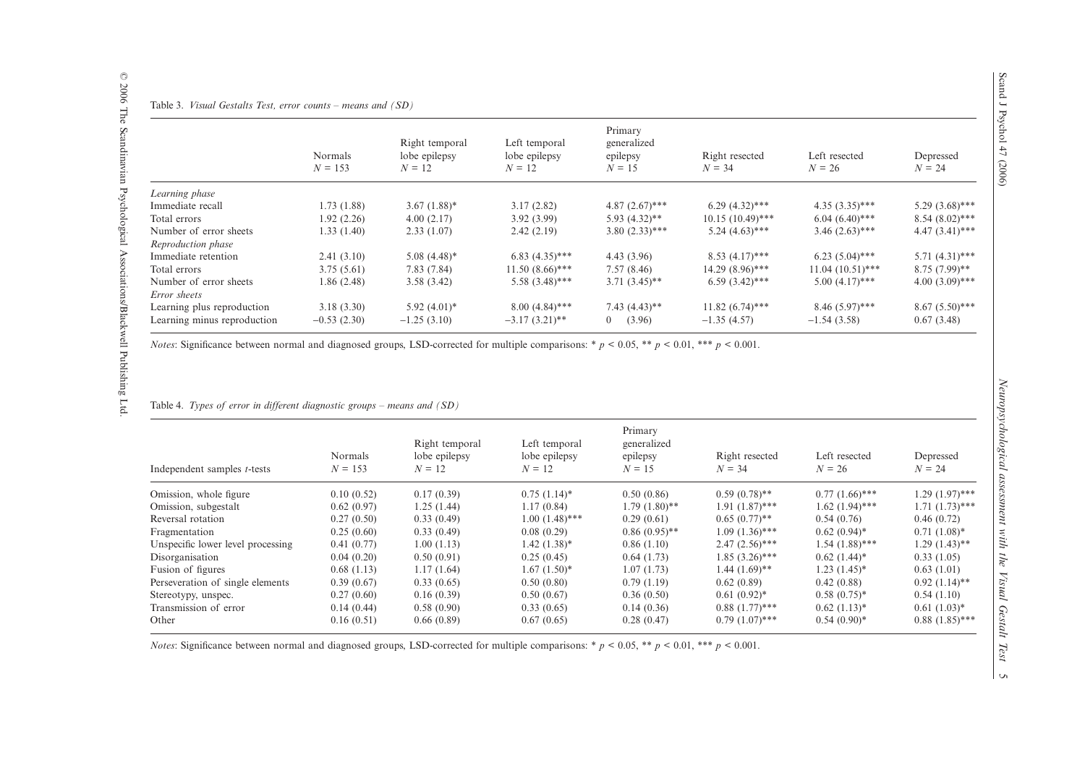|                             | Normals<br>$N = 153$ | Right temporal<br>lobe epilepsy<br>$N = 12$ | Left temporal<br>lobe epilepsy<br>$N = 12$ | Primary<br>generalized<br>epilepsy<br>$N = 15$ | Right resected<br>$N = 34$ | Left resected<br>$N = 26$ | Depressed<br>$N = 24$ |
|-----------------------------|----------------------|---------------------------------------------|--------------------------------------------|------------------------------------------------|----------------------------|---------------------------|-----------------------|
| Learning phase              |                      |                                             |                                            |                                                |                            |                           |                       |
| Immediate recall            | 1.73(1.88)           | $3.67(1.88)$ *                              | 3.17(2.82)                                 | $4.87(2.67)$ ***                               | $6.29(4.32)$ ***           | $4.35(3.35)$ ***          | $5.29(3.68)$ ***      |
| Total errors                | 1.92(2.26)           | 4.00(2.17)                                  | 3.92(3.99)                                 | $5.93(4.32)$ **                                | $10.15(10.49)$ ***         | $6.04(6.40)$ ***          | $8.54(8.02)$ ***      |
| Number of error sheets      | 1.33(1.40)           | 2.33(1.07)                                  | 2.42(2.19)                                 | $3.80(2.33)$ ***                               | $5.24 (4.63)$ ***          | $3.46(2.63)$ ***          | $4.47(3.41)$ ***      |
| Reproduction phase          |                      |                                             |                                            |                                                |                            |                           |                       |
| Immediate retention         | 2.41(3.10)           | $5.08(4.48)$ *                              | $6.83(4.35)$ ***                           | 4.43(3.96)                                     | $8.53(4.17)$ ***           | $6.23(5.04)$ ***          | $5.71(4.31)$ ***      |
| Total errors                | 3.75(5.61)           | 7.83(7.84)                                  | $11.50(8.66)$ ***                          | 7.57(8.46)                                     | $14.29(8.96)$ ***          | $11.04 (10.51)$ ***       | $8.75(7.99)$ **       |
| Number of error sheets      | 1.86(2.48)           | 3.58(3.42)                                  | $5.58(3.48)$ ***                           | $3.71(3.45)$ **                                | $6.59(3.42)$ ***           | $5.00(4.17)$ ***          | $4.00(3.09)$ ***      |
| Error sheets                |                      |                                             |                                            |                                                |                            |                           |                       |
| Learning plus reproduction  | 3.18(3.30)           | $5.92(4.01)*$                               | $8.00(4.84)$ ***                           | $7.43(4.43)$ **                                | $11.82 (6.74)$ ***         | $8.46(5.97)$ ***          | $8.67(5.50)$ ***      |
| Learning minus reproduction | $-0.53(2.30)$        | $-1.25(3.10)$                               | $-3.17(3.21)$ **                           | (3.96)<br>$\overline{0}$                       | $-1.35(4.57)$              | $-1.54(3.58)$             | 0.67(3.48)            |

| Independent samples <i>t</i> -tests | Normals<br>$N = 153$ | Right temporal<br>lobe epilepsy<br>$N = 12$ | Left temporal<br>lobe epilepsy<br>$N = 12$ | Primary<br>generalized<br>epilepsy<br>$N = 15$ | Right resected<br>$N = 34$ | Left resected<br>$N = 26$ | Depressed<br>$N = 24$ |
|-------------------------------------|----------------------|---------------------------------------------|--------------------------------------------|------------------------------------------------|----------------------------|---------------------------|-----------------------|
| Omission, whole figure              | 0.10(0.52)           | 0.17(0.39)                                  | $0.75(1.14)^*$                             | 0.50(0.86)                                     | $0.59(0.78)$ **            | $0.77(1.66)$ ***          | $1.29(1.97)$ ***      |
| Omission, subgestalt                | 0.62(0.97)           | 1.25(1.44)                                  | 1.17(0.84)                                 | $1.79(1.80)$ **                                | $1.91 (1.87)$ ***          | $1.62 (1.94)$ ***         | $1.71(1.73)$ ***      |
| Reversal rotation                   | 0.27(0.50)           | 0.33(0.49)                                  | $1.00(1.48)$ ***                           | 0.29(0.61)                                     | $0.65(0.77)$ **            | 0.54(0.76)                | 0.46(0.72)            |
| Fragmentation                       | 0.25(0.60)           | 0.33(0.49)                                  | 0.08(0.29)                                 | $0.86(0.95)$ **                                | $1.09(1.36)$ ***           | $0.62(0.94)$ *            | $0.71(1.08)$ *        |
| Unspecific lower level processing   | 0.41(0.77)           | 1.00(1.13)                                  | $1.42(1.38)$ *                             | 0.86(1.10)                                     | $2.47(2.56)$ ***           | $1.54(1.88)$ ***          | $1.29(1.43)$ **       |
| Disorganisation                     | 0.04(0.20)           | 0.50(0.91)                                  | 0.25(0.45)                                 | 0.64(1.73)                                     | $1.85(3.26)$ ***           | $0.62(1.44)$ *            | 0.33(1.05)            |
| Fusion of figures                   | 0.68(1.13)           | 1.17(1.64)                                  | $1.67(1.50)*$                              | 1.07(1.73)                                     | $1.44(1.69)$ **            | $1.23(1.45)^*$            | 0.63(1.01)            |
| Perseveration of single elements    | 0.39(0.67)           | 0.33(0.65)                                  | 0.50(0.80)                                 | 0.79(1.19)                                     | 0.62(0.89)                 | 0.42(0.88)                | $0.92(1.14)$ **       |
| Stereotypy, unspec.                 | 0.27(0.60)           | 0.16(0.39)                                  | 0.50(0.67)                                 | 0.36(0.50)                                     | $0.61(0.92)^*$             | $0.58(0.75)^*$            | 0.54(1.10)            |
| Transmission of error               | 0.14(0.44)           | 0.58(0.90)                                  | 0.33(0.65)                                 | 0.14(0.36)                                     | $0.88(1.77)$ ***           | $0.62(1.13)^*$            | $0.61(1.03)*$         |
| Other                               | 0.16(0.51)           | 0.66(0.89)                                  | 0.67(0.65)                                 | 0.28(0.47)                                     | $0.79(1.07)$ ***           | $0.54(0.90)*$             | $0.88(1.85)$ ***      |

*Notes*: Significance between normal and diagnosed groups, LSD-corrected for multiple comparisons: \* *p* < 0.05, \*\* *p* < 0.01, \*\*\* *p* < 0.001.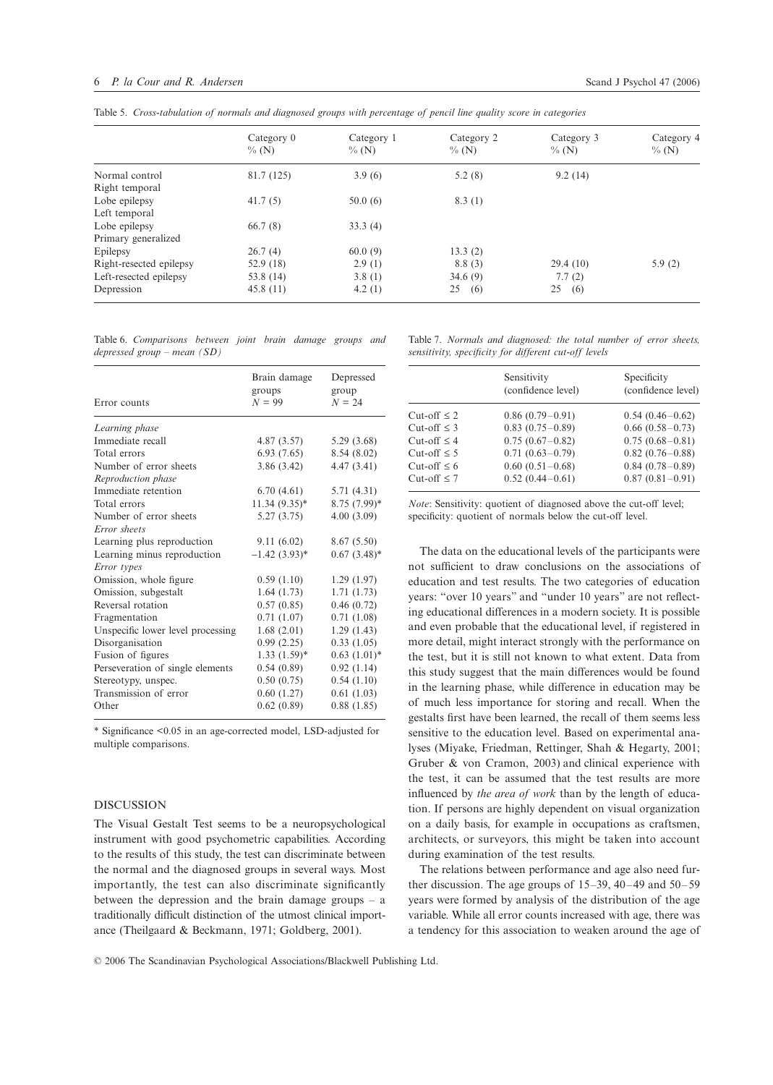|  | Table 5. Cross-tabulation of normals and diagnosed groups with percentage of pencil line quality score in categories |  |  |  |  |  |  |  |  |
|--|----------------------------------------------------------------------------------------------------------------------|--|--|--|--|--|--|--|--|
|--|----------------------------------------------------------------------------------------------------------------------|--|--|--|--|--|--|--|--|

|                         | Category 0<br>$\%$ (N) | Category 1<br>$\%$ (N) | Category 2<br>$\%$ (N) | Category 3<br>% (N) | Category 4<br>$\%$ (N) |
|-------------------------|------------------------|------------------------|------------------------|---------------------|------------------------|
| Normal control          | 81.7 (125)             | 3.9(6)                 | 5.2(8)                 | 9.2(14)             |                        |
| Right temporal          |                        |                        |                        |                     |                        |
| Lobe epilepsy           | 41.7(5)                | 50.0(6)                | 8.3(1)                 |                     |                        |
| Left temporal           |                        |                        |                        |                     |                        |
| Lobe epilepsy           | 66.7(8)                | 33.3(4)                |                        |                     |                        |
| Primary generalized     |                        |                        |                        |                     |                        |
| Epilepsy                | 26.7(4)                | 60.0(9)                | 13.3(2)                |                     |                        |
| Right-resected epilepsy | 52.9 (18)              | 2.9(1)                 | 8.8(3)                 | 29.4(10)            | 5.9(2)                 |
| Left-resected epilepsy  | 53.8 (14)              | 3.8(1)                 | 34.6(9)                | 7.7(2)              |                        |
| Depression              | 45.8(11)               | 4.2(1)                 | 25<br>(6)              | 25<br>(6)           |                        |
|                         |                        |                        |                        |                     |                        |

Table 6. *Comparisons between joint brain damage groups and depressed group – mean (SD)*

| Error counts                      | Brain damage<br>groups<br>$N = 99$ | Depressed<br>group<br>$N = 24$ |
|-----------------------------------|------------------------------------|--------------------------------|
| Learning phase                    |                                    |                                |
| Immediate recall                  | 4.87(3.57)                         | 5.29(3.68)                     |
| Total errors                      | 6.93(7.65)                         | 8.54(8.02)                     |
| Number of error sheets            | 3.86(3.42)                         | 4.47(3.41)                     |
| Reproduction phase                |                                    |                                |
| Immediate retention               | 6.70(4.61)                         | 5.71 (4.31)                    |
| Total errors                      | $11.34(9.35)*$                     | 8.75 (7.99)*                   |
| Number of error sheets            | 5.27(3.75)                         | 4.00(3.09)                     |
| <b>Error</b> sheets               |                                    |                                |
| Learning plus reproduction        | 9.11(6.02)                         | 8.67(5.50)                     |
| Learning minus reproduction       | $-1.42(3.93)*$                     | $0.67(3.48)$ *                 |
| Error types                       |                                    |                                |
| Omission, whole figure            | 0.59(1.10)                         | 1.29(1.97)                     |
| Omission, subgestalt              | 1.64(1.73)                         | 1.71(1.73)                     |
| Reversal rotation                 | 0.57(0.85)                         | 0.46(0.72)                     |
| Fragmentation                     | 0.71(1.07)                         | 0.71(1.08)                     |
| Unspecific lower level processing | 1.68(2.01)                         | 1.29(1.43)                     |
| Disorganisation                   | 0.99(2.25)                         | 0.33(1.05)                     |
| Fusion of figures                 | $1.33(1.59)$ *                     | $0.63(1.01)*$                  |
| Perseveration of single elements  | 0.54(0.89)                         | 0.92(1.14)                     |
| Stereotypy, unspec.               | 0.50(0.75)                         | 0.54(1.10)                     |
| Transmission of error             | 0.60(1.27)                         | 0.61(1.03)                     |
| Other                             | 0.62(0.89)                         | 0.88(1.85)                     |

\* Significance <0.05 in an age-corrected model, LSD-adjusted for multiple comparisons.

#### DISCUSSION

The Visual Gestalt Test seems to be a neuropsychological instrument with good psychometric capabilities. According to the results of this study, the test can discriminate between the normal and the diagnosed groups in several ways. Most importantly, the test can also discriminate significantly between the depression and the brain damage groups – a traditionally difficult distinction of the utmost clinical importance (Theilgaard & Beckmann, 1971; Goldberg, 2001).

Table 7. *Normals and diagnosed: the total number of error sheets, sensitivity, specificity for different cut-off levels*

|                  | Sensitivity<br>(confidence level) | Specificity<br>(confidence level) |
|------------------|-----------------------------------|-----------------------------------|
| Cut-off $\leq 2$ | $0.86(0.79-0.91)$                 | $0.54(0.46 - 0.62)$               |
| Cut-off $\leq$ 3 | $0.83(0.75-0.89)$                 | $0.66(0.58-0.73)$                 |
| Cut-off $\leq 4$ | $0.75(0.67-0.82)$                 | $0.75(0.68 - 0.81)$               |
| Cut-off $\leq$ 5 | $0.71(0.63 - 0.79)$               | $0.82(0.76 - 0.88)$               |
| Cut-off $\leq 6$ | $0.60(0.51-0.68)$                 | $0.84(0.78-0.89)$                 |
| Cut-off $\leq 7$ | $0.52(0.44 - 0.61)$               | $0.87(0.81 - 0.91)$               |
|                  |                                   |                                   |

*Note*: Sensitivity: quotient of diagnosed above the cut-off level; specificity: quotient of normals below the cut-off level.

The data on the educational levels of the participants were not sufficient to draw conclusions on the associations of education and test results. The two categories of education years: "over 10 years" and "under 10 years" are not reflecting educational differences in a modern society. It is possible and even probable that the educational level, if registered in more detail, might interact strongly with the performance on the test, but it is still not known to what extent. Data from this study suggest that the main differences would be found in the learning phase, while difference in education may be of much less importance for storing and recall. When the gestalts first have been learned, the recall of them seems less sensitive to the education level. Based on experimental analyses (Miyake, Friedman, Rettinger, Shah & Hegarty, 2001; Gruber & von Cramon, 2003) and clinical experience with the test, it can be assumed that the test results are more influenced by *the area of work* than by the length of education. If persons are highly dependent on visual organization on a daily basis, for example in occupations as craftsmen, architects, or surveyors, this might be taken into account during examination of the test results.

The relations between performance and age also need further discussion. The age groups of 15–39, 40–49 and 50–59 years were formed by analysis of the distribution of the age variable. While all error counts increased with age, there was a tendency for this association to weaken around the age of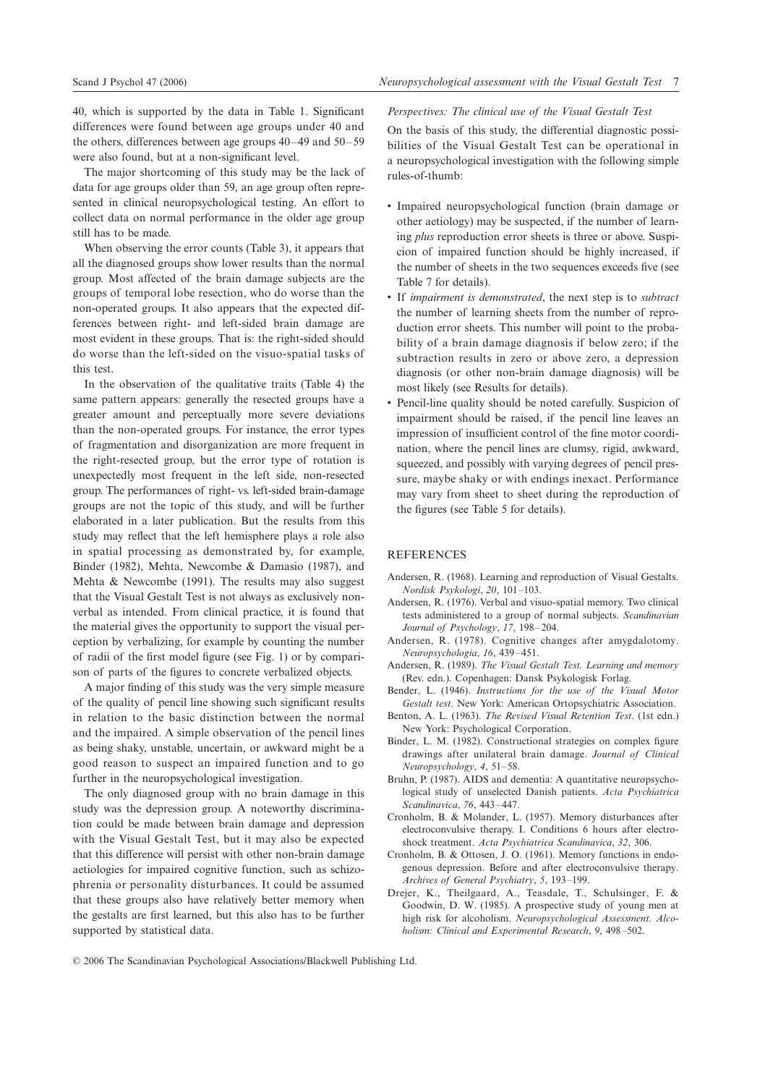40, which is supported by the data in Table 1. Significant differences were found between age groups under 40 and the others, differences between age groups 40–49 and 50–59 were also found, but at a non-significant level.

The major shortcoming of this study may be the lack of data for age groups older than 59, an age group often represented in clinical neuropsychological testing. An effort to collect data on normal performance in the older age group still has to be made.

When observing the error counts (Table 3), it appears that all the diagnosed groups show lower results than the normal group. Most affected of the brain damage subjects are the groups of temporal lobe resection, who do worse than the non-operated groups. It also appears that the expected differences between right- and left-sided brain damage are most evident in these groups. That is: the right-sided should do worse than the left-sided on the visuo-spatial tasks of this test.

In the observation of the qualitative traits (Table 4) the same pattern appears: generally the resected groups have a greater amount and perceptually more severe deviations than the non-operated groups. For instance, the error types of fragmentation and disorganization are more frequent in the right-resected group, but the error type of rotation is unexpectedly most frequent in the left side, non-resected group. The performances of right- vs. left-sided brain-damage groups are not the topic of this study, and will be further elaborated in a later publication. But the results from this study may reflect that the left hemisphere plays a role also in spatial processing as demonstrated by, for example, Binder (1982), Mehta, Newcombe & Damasio (1987), and Mehta & Newcombe (1991). The results may also suggest that the Visual Gestalt Test is not always as exclusively nonverbal as intended. From clinical practice, it is found that the material gives the opportunity to support the visual perception by verbalizing, for example by counting the number of radii of the first model figure (see Fig. 1) or by comparison of parts of the figures to concrete verbalized objects.

A major finding of this study was the very simple measure of the quality of pencil line showing such significant results in relation to the basic distinction between the normal and the impaired. A simple observation of the pencil lines as being shaky, unstable, uncertain, or awkward might be a good reason to suspect an impaired function and to go further in the neuropsychological investigation.

The only diagnosed group with no brain damage in this study was the depression group. A noteworthy discrimination could be made between brain damage and depression with the Visual Gestalt Test, but it may also be expected that this difference will persist with other non-brain damage aetiologies for impaired cognitive function, such as schizophrenia or personality disturbances. It could be assumed that these groups also have relatively better memory when the gestalts are first learned, but this also has to be further supported by statistical data.

# *Perspectives: The clinical use of the Visual Gestalt Test*

On the basis of this study, the differential diagnostic possibilities of the Visual Gestalt Test can be operational in a neuropsychological investigation with the following simple rules-of-thumb:

- Impaired neuropsychological function (brain damage or other aetiology) may be suspected, if the number of learning *plus* reproduction error sheets is three or above. Suspicion of impaired function should be highly increased, if the number of sheets in the two sequences exceeds five (see Table 7 for details).
- If *impairment is demonstrated*, the next step is to *subtract* the number of learning sheets from the number of reproduction error sheets. This number will point to the probability of a brain damage diagnosis if below zero; if the subtraction results in zero or above zero, a depression diagnosis (or other non-brain damage diagnosis) will be most likely (see Results for details).
- Pencil-line quality should be noted carefully. Suspicion of impairment should be raised, if the pencil line leaves an impression of insufficient control of the fine motor coordination, where the pencil lines are clumsy, rigid, awkward, squeezed, and possibly with varying degrees of pencil pressure, maybe shaky or with endings inexact. Performance may vary from sheet to sheet during the reproduction of the figures (see Table 5 for details).

# **REFERENCES**

- Andersen, R. (1968). Learning and reproduction of Visual Gestalts. *Nordisk Psykologi*, *20*, 101–103.
- Andersen, R. (1976). Verbal and visuo-spatial memory. Two clinical tests administered to a group of normal subjects. *Scandinavian Journal of Psychology*, *17*, 198–204.
- Andersen, R. (1978). Cognitive changes after amygdalotomy. *Neuropsychologia*, *16*, 439–451.
- Andersen, R. (1989). *The Visual Gestalt Test. Learning and memory* (Rev. edn.). Copenhagen: Dansk Psykologisk Forlag.
- Bender, L. (1946). *Instructions for the use of the Visual Motor Gestalt test*. New York: American Ortopsychiatric Association.
- Benton, A. L. (1963). *The Revised Visual Retention Test*. (1st edn.) New York: Psychological Corporation.
- Binder, L. M. (1982). Constructional strategies on complex figure drawings after unilateral brain damage. *Journal of Clinical Neuropsychology*, *4*, 51–58.
- Bruhn, P. (1987). AIDS and dementia: A quantitative neuropsychological study of unselected Danish patients. *Acta Psychiatrica Scandinavica*, *76*, 443–447.
- Cronholm, B. & Molander, L. (1957). Memory disturbances after electroconvulsive therapy. I. Conditions 6 hours after electroshock treatment. *Acta Psychiatrica Scandinavica*, *32*, 306.
- Cronholm, B. & Ottosen, J. O. (1961). Memory functions in endogenous depression. Before and after electroconvulsive therapy. *Archives of General Psychiatry*, *5*, 193–199.
- Drejer, K., Theilgaard, A., Teasdale, T., Schulsinger, F. & Goodwin, D. W. (1985). A prospective study of young men at high risk for alcoholism. *Neuropsychological Assessment. Alcoholism: Clinical and Experimental Research*, *9*, 498–502.

© 2006 The Scandinavian Psychological Associations/Blackwell Publishing Ltd.